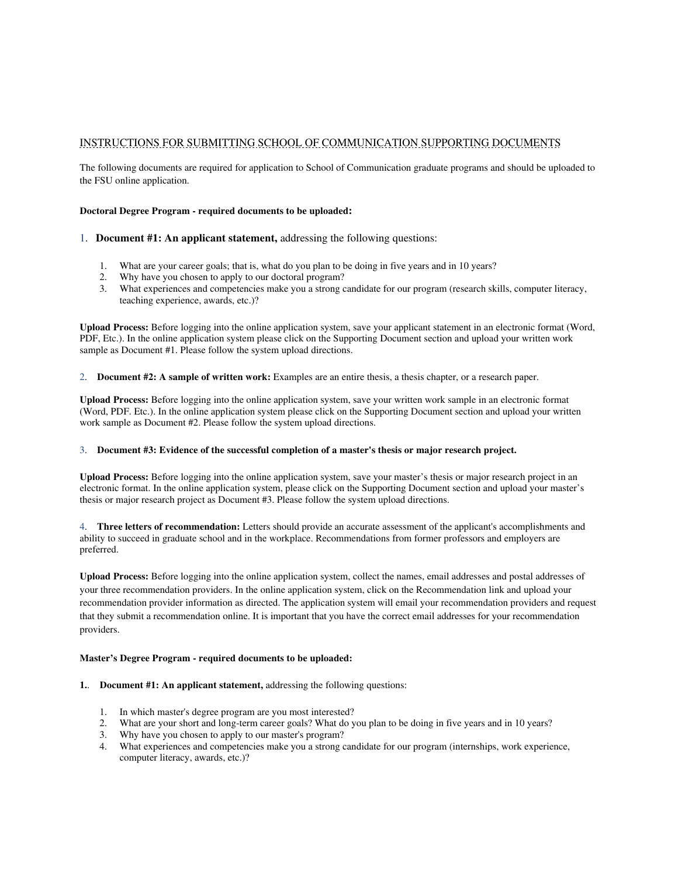## INSTRUCTIONS FOR SUBMITTING SCHOOL OF COMMUNICATION SUPPORTING DOCUMENTS

The following documents are required for application to School of Communication graduate programs and should be uploaded to the FSU online application.

## **Doctoral Degree Program - required documents to be uploaded:**

- 1. **Document #1: An applicant statement,** addressing the following questions:
	- 1. What are your career goals; that is, what do you plan to be doing in five years and in 10 years?
	- 2. Why have you chosen to apply to our doctoral program?
	- 3. What experiences and competencies make you a strong candidate for our program (research skills, computer literacy, teaching experience, awards, etc.)?

**Upload Process:** Before logging into the online application system, save your applicant statement in an electronic format (Word, PDF, Etc.). In the online application system please click on the Supporting Document section and upload your written work sample as Document #1. Please follow the system upload directions.

2. **Document #2: A sample of written work:** Examples are an entire thesis, a thesis chapter, or a research paper.

**Upload Process:** Before logging into the online application system, save your written work sample in an electronic format (Word, PDF. Etc.). In the online application system please click on the Supporting Document section and upload your written work sample as Document #2. Please follow the system upload directions.

## 3. **Document #3: Evidence of the successful completion of a master's thesis or major research project.**

**Upload Process:** Before logging into the online application system, save your master's thesis or major research project in an electronic format. In the online application system, please click on the Supporting Document section and upload your master's thesis or major research project as Document #3. Please follow the system upload directions.

4. **Three letters of recommendation:** Letters should provide an accurate assessment of the applicant's accomplishments and ability to succeed in graduate school and in the workplace. Recommendations from former professors and employers are preferred.

**Upload Process:** Before logging into the online application system, collect the names, email addresses and postal addresses of your three recommendation providers. In the online application system, click on the Recommendation link and upload your recommendation provider information as directed. The application system will email your recommendation providers and request that they submit a recommendation online. It is important that you have the correct email addresses for your recommendation providers.

## **Master's Degree Program - required documents to be uploaded:**

- **1.**. **Document #1: An applicant statement,** addressing the following questions:
	- 1. In which master's degree program are you most interested?
	- 2. What are your short and long-term career goals? What do you plan to be doing in five years and in 10 years?
	- 3. Why have you chosen to apply to our master's program?
	- 4. What experiences and competencies make you a strong candidate for our program (internships, work experience, computer literacy, awards, etc.)?